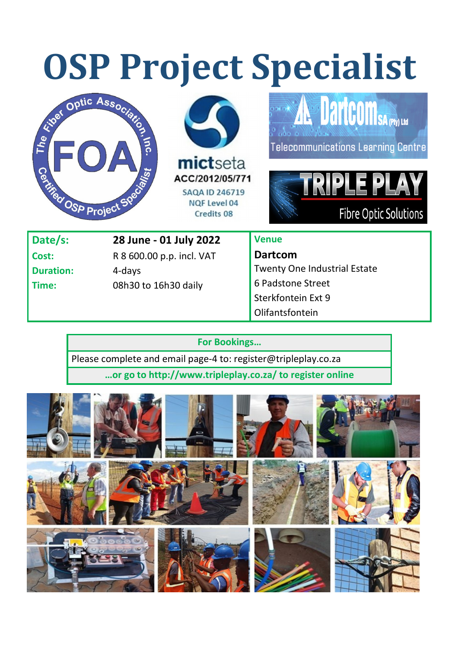# **OSP Project Specialist**







Telecommunications Learning Centre



| Date/s:          | 28 June - 01 July 2022    |
|------------------|---------------------------|
| Cost:            | R 8 600.00 p.p. incl. VAT |
| <b>Duration:</b> | 4-days                    |
| Time:            | 08h30 to 16h30 daily      |
|                  |                           |

# **Venue**

**Dartcom**  Twenty One Industrial Estate 6 Padstone Street Sterkfontein Ext 9 Olifantsfontein

#### **For Bookings…**

Please complete and email page-4 to: register@tripleplay.co.za

**…or go to http://www.tripleplay.co.za/ to register online**

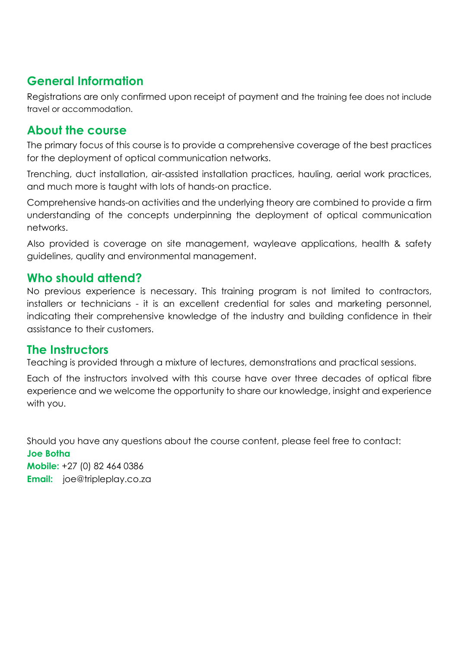# **General Information**

Registrations are only confirmed upon receipt of payment and the training fee does not include travel or accommodation.

# **About the course**

The primary focus of this course is to provide a comprehensive coverage of the best practices for the deployment of optical communication networks.

Trenching, duct installation, air-assisted installation practices, hauling, aerial work practices, and much more is taught with lots of hands-on practice.

Comprehensive hands-on activities and the underlying theory are combined to provide a firm understanding of the concepts underpinning the deployment of optical communication networks.

Also provided is coverage on site management, wayleave applications, health & safety guidelines, quality and environmental management.

#### **Who should attend?**

No previous experience is necessary. This training program is not limited to contractors, installers or technicians - it is an excellent credential for sales and marketing personnel, indicating their comprehensive knowledge of the industry and building confidence in their assistance to their customers.

#### **The Instructors**

Teaching is provided through a mixture of lectures, demonstrations and practical sessions.

Each of the instructors involved with this course have over three decades of optical fibre experience and we welcome the opportunity to share our knowledge, insight and experience with you.

Should you have any questions about the course content, please feel free to contact: **Joe Botha Mobile:** +27 (0) 82 464 0386 **Email:** joe@tripleplay.co.za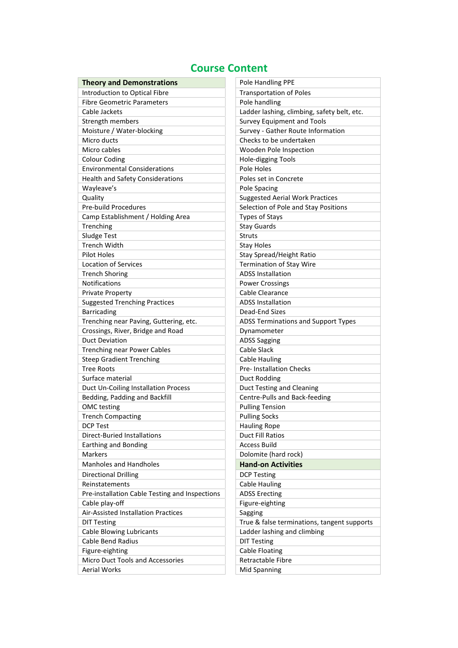### **Course Content**

| <b>Theory and Demonstrations</b>                      | Pole Handling PPE                           |
|-------------------------------------------------------|---------------------------------------------|
| Introduction to Optical Fibre                         | <b>Transportation of Poles</b>              |
| <b>Fibre Geometric Parameters</b>                     | Pole handling                               |
| Cable Jackets                                         | Ladder lashing, climbing, safety belt, etc. |
| Strength members                                      | <b>Survey Equipment and Tools</b>           |
| Moisture / Water-blocking                             | Survey - Gather Route Information           |
| Micro ducts                                           | Checks to be undertaken                     |
| Micro cables                                          | Wooden Pole Inspection                      |
| <b>Colour Coding</b>                                  | Hole-digging Tools                          |
| <b>Environmental Considerations</b>                   | Pole Holes                                  |
| <b>Health and Safety Considerations</b>               | Poles set in Concrete                       |
| Wayleave's                                            | Pole Spacing                                |
| Quality                                               | <b>Suggested Aerial Work Practices</b>      |
| <b>Pre-build Procedures</b>                           | Selection of Pole and Stay Positions        |
| Camp Establishment / Holding Area                     | <b>Types of Stays</b>                       |
| Trenching                                             | <b>Stay Guards</b>                          |
| <b>Sludge Test</b>                                    | <b>Struts</b>                               |
| <b>Trench Width</b>                                   | <b>Stay Holes</b>                           |
| <b>Pilot Holes</b>                                    | Stay Spread/Height Ratio                    |
| <b>Location of Services</b>                           | <b>Termination of Stay Wire</b>             |
| <b>Trench Shoring</b>                                 | <b>ADSS Installation</b>                    |
| <b>Notifications</b>                                  | <b>Power Crossings</b>                      |
| <b>Private Property</b>                               | Cable Clearance                             |
| <b>Suggested Trenching Practices</b>                  | <b>ADSS Installation</b>                    |
| <b>Barricading</b>                                    | Dead-End Sizes                              |
| Trenching near Paving, Guttering, etc.                | ADSS Terminations and Support Types         |
| Crossings, River, Bridge and Road                     | Dynamometer                                 |
| <b>Duct Deviation</b>                                 | <b>ADSS Sagging</b>                         |
| Trenching near Power Cables                           | Cable Slack                                 |
| <b>Steep Gradient Trenching</b>                       | Cable Hauling                               |
| <b>Tree Roots</b>                                     | <b>Pre-Installation Checks</b>              |
| Surface material                                      | Duct Rodding                                |
| Duct Un-Coiling Installation Process                  | <b>Duct Testing and Cleaning</b>            |
| Bedding, Padding and Backfill                         | Centre-Pulls and Back-feeding               |
| OMC testing                                           | <b>Pulling Tension</b>                      |
| <b>Trench Compacting</b>                              | <b>Pulling Socks</b>                        |
| <b>DCP Test</b>                                       | <b>Hauling Rope</b>                         |
| <b>Direct-Buried Installations</b>                    | Duct Fill Ratios                            |
| Earthing and Bonding                                  | <b>Access Build</b>                         |
| Markers                                               | Dolomite (hard rock)                        |
| <b>Manholes and Handholes</b>                         | <b>Hand-on Activities</b>                   |
| <b>Directional Drilling</b>                           | <b>DCP Testing</b>                          |
| Reinstatements                                        | <b>Cable Hauling</b>                        |
| Pre-installation Cable Testing and Inspections        | <b>ADSS Erecting</b>                        |
|                                                       |                                             |
| Cable play-off<br>Air-Assisted Installation Practices | Figure-eighting                             |
|                                                       | Sagging                                     |
| <b>DIT Testing</b>                                    | True & false terminations, tangent supports |
| Cable Blowing Lubricants                              | Ladder lashing and climbing                 |
| <b>Cable Bend Radius</b>                              | <b>DIT Testing</b>                          |
| Figure-eighting                                       | <b>Cable Floating</b>                       |
| Micro Duct Tools and Accessories                      | <b>Retractable Fibre</b>                    |
| <b>Aerial Works</b>                                   | Mid Spanning                                |

| Pole Handling PPE                           |  |  |
|---------------------------------------------|--|--|
| <b>Transportation of Poles</b>              |  |  |
| Pole handling                               |  |  |
| Ladder lashing, climbing, safety belt, etc. |  |  |
| <b>Survey Equipment and Tools</b>           |  |  |
| Survey - Gather Route Information           |  |  |
| Checks to be undertaken                     |  |  |
| Wooden Pole Inspection                      |  |  |
| Hole-digging Tools                          |  |  |
| Pole Holes                                  |  |  |
| Poles set in Concrete                       |  |  |
| Pole Spacing                                |  |  |
| <b>Suggested Aerial Work Practices</b>      |  |  |
| Selection of Pole and Stay Positions        |  |  |
| <b>Types of Stays</b>                       |  |  |
| <b>Stay Guards</b>                          |  |  |
| <b>Struts</b>                               |  |  |
| <b>Stay Holes</b>                           |  |  |
| Stay Spread/Height Ratio                    |  |  |
| <b>Termination of Stav Wire</b>             |  |  |
| <b>ADSS Installation</b>                    |  |  |
| <b>Power Crossings</b>                      |  |  |
| Cable Clearance                             |  |  |
| <b>ADSS Installation</b>                    |  |  |
| Dead-End Sizes                              |  |  |
| <b>ADSS Terminations and Support Types</b>  |  |  |
| Dynamometer                                 |  |  |
| <b>ADSS Sagging</b>                         |  |  |
| Cable Slack                                 |  |  |
| Cable Hauling                               |  |  |
| <b>Pre-Installation Checks</b>              |  |  |
| Duct Rodding                                |  |  |
| <b>Duct Testing and Cleaning</b>            |  |  |
| Centre-Pulls and Back-feeding               |  |  |
| <b>Pulling Tension</b>                      |  |  |
| <b>Pulling Socks</b>                        |  |  |
| <b>Hauling Rope</b>                         |  |  |
| Duct Fill Ratios                            |  |  |
| Access Build                                |  |  |
| Dolomite (hard rock)                        |  |  |
| <b>Hand-on Activities</b>                   |  |  |
| <b>DCP Testing</b>                          |  |  |
| Cable Hauling                               |  |  |
| <b>ADSS Erecting</b>                        |  |  |
| Figure-eighting                             |  |  |
| Sagging                                     |  |  |
| True & false terminations, tangent supports |  |  |
| Ladder lashing and climbing                 |  |  |
| <b>DIT Testing</b>                          |  |  |
| <b>Cable Floating</b>                       |  |  |
| Retractable Fibre                           |  |  |
| Mid Spanning                                |  |  |
|                                             |  |  |